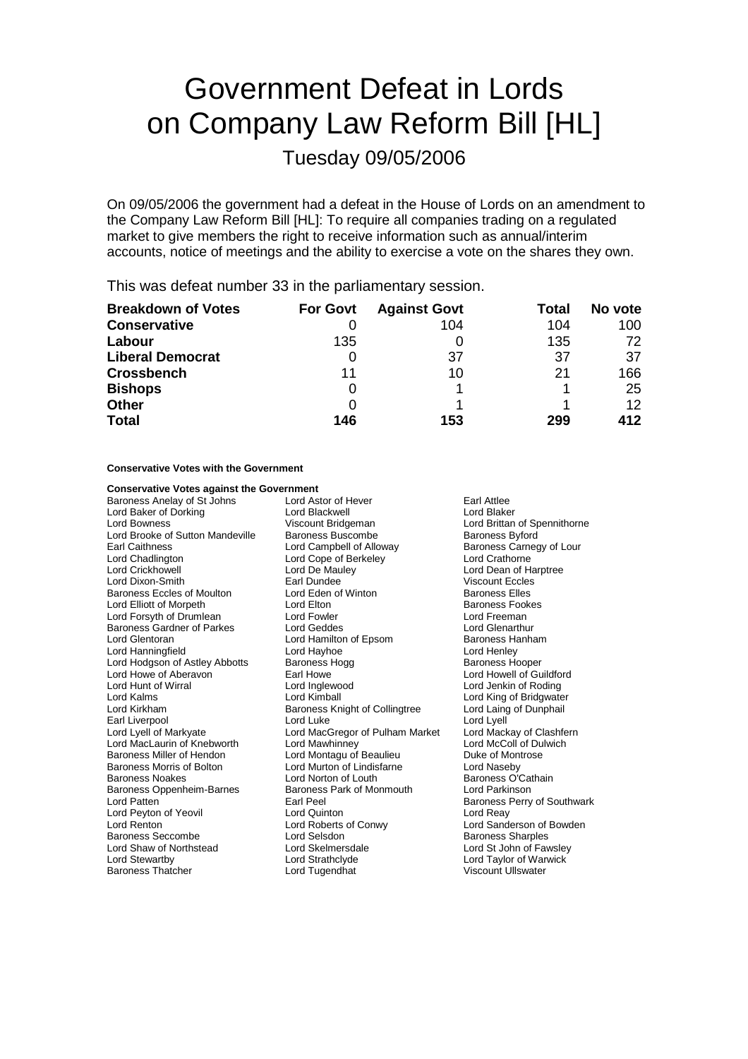# Government Defeat in Lords on Company Law Reform Bill [HL]

### Tuesday 09/05/2006

On 09/05/2006 the government had a defeat in the House of Lords on an amendment to the Company Law Reform Bill [HL]: To require all companies trading on a regulated market to give members the right to receive information such as annual/interim accounts, notice of meetings and the ability to exercise a vote on the shares they own.

This was defeat number 33 in the parliamentary session.

| <b>Breakdown of Votes</b> | <b>For Govt</b> | <b>Against Govt</b> | Total | No vote |
|---------------------------|-----------------|---------------------|-------|---------|
| <b>Conservative</b>       |                 | 104                 | 104   | 100     |
| Labour                    | 135             |                     | 135   | 72      |
| <b>Liberal Democrat</b>   |                 | 37                  | 37    | 37      |
| <b>Crossbench</b>         | 11              | 10                  | 21    | 166     |
| <b>Bishops</b>            | O               |                     |       | 25      |
| <b>Other</b>              | 0               |                     |       | 12      |
| <b>Total</b>              | 146             | 153                 | 299   | 412     |

#### **Conservative Votes with the Government**

# **Conservative Votes against the Government**<br>Baroness Anelay of St Johns Lord Astor of Hever

Baroness Anelay of St Johns Lord Astor of Hever Farl Attlee<br>
Lord Baker of Dorking **Early Corporation**<br>
Lord Blaker Lord Baker of Dorking **Lord Blackwell**<br>
Lord Bowness **Lord Bridgeman**<br>
Viscount Bridgeman Lord Brooke of Sutton Mandeville Baroness Buscombe Baroness Byford<br>Earl Caithness Buscombell of Alloway Baroness Carnec Earl Caithness **Earl Caithness** Lord Campbell of Alloway **Baroness Carnegy of Lour**<br>
Lord Chadlington **Baroness Carnegy Lord Carnegy Lord Crathorne** Lord Chadlington Lord Cope of Berkeley<br>
Lord Crickhowell Lord De Maulev Lord Dixon-Smith **Earl Dundee** Earl Dundee Viscount Eccles<br>Baroness Eccles of Moulton **Example 20 Lord Eden of Winton** Baroness Elles Baroness Eccles of Moulton **Lord Eden of Winton** Baroness Elles<br>
Lord Elliott of Morpeth **Lord Elton** Lord Elton **Baroness Fookes** Lord Elliott of Morpeth Lord Elton Lord Elton Baroness Fook<br>Lord Eorsyth of Drumlean Lord Eowler Lord Experience Lord Ereeman Lord Forsyth of Drumlean Lord Fowler Lord Fourthur Lord Freeman<br>
Baroness Gardner of Parkes Lord Geddes Lord Clenarthur Baroness Gardner of Parkes Lord Geddes Lord General Lord General Lord Glenarthur<br>
Lord Hamilton of Epsom Baroness Hanham Lord Hanningfield Lord Hodgson of Astley Abbotts Baroness Hogg Baroness Hooper<br>
Lord Howe of Aberavon Barl Howe Barl Howe Baroness Hooper Lord Howe of Aberavon **Earl Howe Can Aberation** Earl Howe Lord Howell of Guildford<br>
Lord Hunt of Wirral **Can Aberation** Lord Inglewood **Can Aberation** Lord Jenkin of Roding Lord Hunt of Wirral **Lord Inglewood** Lord Inglewood Lord Lord Jenkin of Roding<br>
Lord Kalms
Lord Kalms
Lord Kimball
Lord Kimball
Lord Kalms
Lord Kalms
Lord Kalms
Lord Kalms
Lord Kalms
Lord Kalms
Lord Kalms
Lord Kalms
Lord K Lord Kalms Lord Kimball Lord King of Bridgwater Earl Liverpool **Earl Liverpool** Lord Luke Lord Lyell<br>
Lord Lyell of Markyate Lord MacGregor of Pulham Market Lord Mackay of Clashfern Lord MacLaurin of Knebworth Lord Mawhinney<br>Baroness Miller of Hendon Lord Montagu of Baroness Miller of Hendon **Lord Montagu of Beaulieu Communist Communist Communist Communist Communist Communist Communist Communist Communist Communist Communist Communist Communist Communist Communist Communist Communist** Baroness Morris of Bolton **Leart Control Lord Murton of Lindisfarne** Lord Naseby<br>
Lord Norton of Louth **Baroness O'Cathain** Baroness Oppenheim-Barnes Lord Patten **Earl Peel** Earl Peel **Earl Peel** Baroness Perry of Southwark<br> **Earl Peel Baroness Perry of Southwark**<br> **Earl Peel Baroness Perry of Southwark** Lord Peyton of Yeovil<br>
Lord Renton 
Lord Roberts of Conwy Lord Renton Lord Roberts of Conwy Lord Sanderson of Bowden Baroness Seccombe Lord Selsdon Communication Baroness Sharples<br>
Lord Shaw of Northstead Lord Skelmersdale Lord St John of Fawsley Lord Shaw of Northstead Lord Skelmersda<br>
Lord Strathclvde Lord Strathclvde Baroness Thatcher

Lord Crickhowell Lord De Mauley Lord Dean of Harptree Lord Hamilton of Epsom Baroness Hanness Hanness Hanness Hannes<br>
Lord Hayhoe Baroness Hanham Baroness Knight of Collingtree Lord Laing<br>Lord Luke Lord Lyell Lord MacGregor of Pulham Market Lord Mackay of Clashfern Lord Mackay of Clashfern Clashfern Lord Mackay of Clashfern Lord Norton of Louth **Baroness O'Cathain**<br>Baroness Park of Monmouth **Baroness Dividends** Lord Stewartby Lord Strathclyde Lord Taylor of Warwick

Lord Brittan of Spennithorne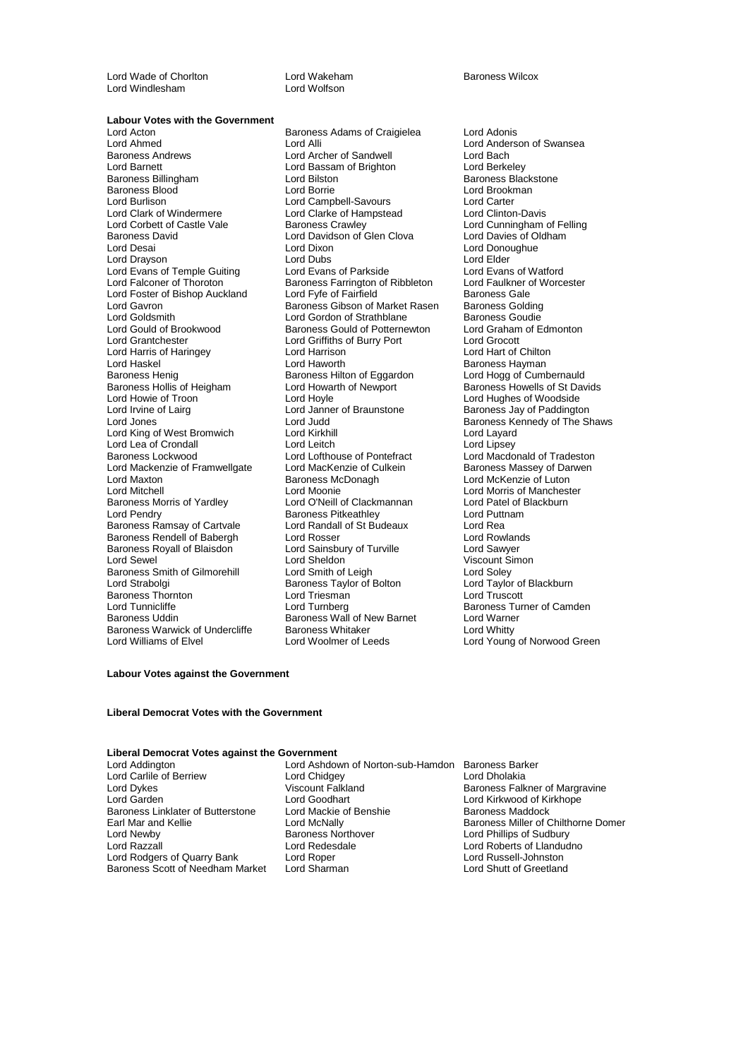Lord Wade of Chorlton **Lord Wakeham** Lord Wakeham Baroness Wilcox<br>
Lord Windlesham Lord Wolfson Lord Windlesham

### **Labour Votes with the Government**<br>Lord Acton

Lord Ahmed Lord Alli Lord Alli Lord Anderson of Swansea<br>
Baroness Andrews **Lord Anderson Lord Archer of Sandwell** Lord Bach Baroness Andrews **Example 2** Lord Archer of Sandwell **Lord Bach**<br>
Lord Barnett Lord Bach<br>
Lord Bachner Cord Bachner Cord Bachner Lord Bachner Lord Berkeley Lord Barnett Lord Bassam of Brighton<br>
Baroness Billingham
Lord Bilston Baroness Blood **Brookmann Lord Borrie Contract Contract Contract Contract Contract Contract Contract Contract Contract Contract Contract Lord Carter Contract Lord Carter Contract Lord Carter Contract Lord Carter Contract C** Lord Burlison **Lord Campbell-Savours** Lord Carter<br>
Lord Clark of Windermere Lord Clarke of Hampstead Lord Clinton-Davis Lord Clark of Windermere Lord Clarke of Hampstead<br>
Lord Corbett of Castle Vale Baroness Crawley Lord Corbett of Castle Vale Baroness Crawley<br>Baroness David Lord Cunningham of Felling<br>Lord Davies of Oldham Lord Davidson of Glen Clova Lord Davies of Oldham Baroness David<br>Baroness David Lord Davidson of Glen Clova<br>Lord Desai Lord Dixon Lord Drayson **Lord Dubs** Lord Dubs Lord Elder **Lord Elder**<br>
Lord Evans of Temple Guiting Lord Evans of Parkside Lord Evans of Watford Lord Evans of Temple Guiting Lord Evans of Parkside Lord Evans of Watford<br>
Lord Falconer of Thoroton Baroness Farrington of Ribbleton Lord Faulkner of Worcester Lord Foster of Bishop Auckland Lord Fyfe of Fairfield Baroness Gale<br>Lord Gavron Baroness Golding Baroness Gibson of Market Rasen Baroness Golding Lord Gavron **Baroness Gibson of Market Rasen** Baroness Golding<br>
Lord Goldsmith **Baroness Couding**<br>
Lord Gordon of Strathblane Baroness Goudie Lord Goldsmith **Lord Gordon of Strathblane** Baroness Goudie<br> **Lord Gould of Brookwood** Baroness Gould of Potternewton Lord Graham of Edmonton Lord Gould of Brookwood Baroness Gould of Potternewton Lord Graham<br>
Lord Grantchester Lord Griffiths of Burry Port Lord Grocott Lord Harris of Haringey **Lord Harrison**<br>
Lord Haskel Chilton Lord Haworth Lord Haskel **Lord Haworth** Baroness Hayman<br>
Baroness Henig **Baroness Henimes Baroness Hilton of Eggardon** Lord Hogg of Cumbernauld Baroness Hollis of Heigham Lord Howarth Lord Howarth Lord Howarth Lord Howells Cord Howle<br>Lord Howie of Troon Lord Howie of Troon **Lord Hoyle** Lord Hoyle **Lord Hughes of Woodside**<br>
Lord Irvine of Lairq **Conservation**<br>
Lord Janner of Braunstone **Baroness** Jay of Paddingto Lord Irvine of Lairg **Lord Lord January 19** Lord Braunstone Baroness Jay of Paddington<br>Lord Jones Lord Judd Baroness Kennedy of The S Lord King of West Bromwich Lord Kirkhill Lord Layard Lord Lea of Crondall Lord Leitch<br>
Baroness Lockwood Lord Lord Lofthouse of Pontefract Lord Mackenzie of Framwellgate Lord MacKenzie of Culkein Baroness Massey of Da<br>Lord Maxton Baroness McDonagh Baroness McDonagh Lord McKenzie of Luton Lord Maxton **Baroness McDonagh**<br>
Lord Mitchell<br>
Lord Moonie Baroness Morris of Yardley **Lord O'Neill of Clackmannan** Lord Patel of Exercise Cord Pendry **Cord Patel of Baroness Pitkeathley** Lord Puttnam Baroness Ramsay of Cartvale Lord Randall of St Budeaux Lord Rea<br>Baroness Rendell of Babergh Lord Rosser Lord Rowlands Baroness Rendell of Babergh Lord Rosser Lord Rosser Lord Rowland<br>Baroness Royall of Blaisdon Lord Sainsbury of Turville Lord Sawyer Baroness Royall of Blaisdon<br>
Lord Sainsbury of Turville<br>
Lord Sewel Baroness Smith of Gilmorehill Lord Smith of Leigh Lord Soley<br>
Lord Strabolgi Cord Saroness Taylor of Bolton Lord Taylor of Blackburn Baroness Thornton **Example 1** Lord Triesman Lord Turnberg Lord Tunnicliffe Turnberg Lord Turnberg Communication Baroness Turner of Camden<br>Baroness Uddin Baroness Wall of New Barnet Lord Warner Baroness Warwick of Undercliffe Baroness Whitaker<br>
Lord Williams of Elvel Lord Woolmer of Leeds

Lord Acton Baroness Adams of Craigielea Lord Adonis Lord Bilston Baroness Blackstone<br>Lord Borrie Lord Brookman Lord Dixon Lord Donoughue<br>
Lord Dubs<br>
Lord Flder Baroness Farrington of Ribbleton Lord Faulkner of Ribbleton Lord Faulkner of Pairfield Corp Lord Griffiths of Burry Port Lord Grocott<br>
Lord Harrison Lord Hart of Chilton Baroness Hilton of Eggardon Lord Hogg of Cumbernauld<br>
Lord Howarth of Newport Baroness Howells of St Davids Lord Judd Baroness Kennedy of The Shaws<br>
Lord Kirkhill **Baroness Kennedy of The Shaws** Lord Lofthouse of Pontefract Lord Macdonald of Tradeston<br>
Lord MacKenzie of Culkein Baroness Massey of Darwen Lord Moonie<br>
Lord O'Neill of Clackmannan<br>
Lord Patel of Blackburn Baroness Pitkeathley **Lord Puttnamess Pitkeathley** Lord Putto<br>
Lord Randall of St Budeaux **Lord Rea** Lord Sheldon Viscount Simon<br>
Lord Smith of Leigh Viscount Simon<br>
Lord Soley Exaroness Taylor of Bolton Francess Taylor of Bolton Corp Lord Taylor of Lord Truscott Baroness Wall of New Barnet Lord Warne<br>Baroness Whitaker Lord Whitty

Lord Young of Norwood Green

#### **Labour Votes against the Government**

#### **Liberal Democrat Votes with the Government**

### **Liberal Democrat Votes against the Government**

Lord Carlile of Berriew<br>Lord Dykes Lord Dykes Viscount Falkland Baroness Falkner of Margravine Baroness Linklater of Butterstone Lord Mackie of Baroness Linklater of Butterstone Lord Mackie of Baroness Machiness Lord Newby Baroness Northover<br>
Lord Razzall **Example Sudden Sudden Cord Redesdale** Lord Rodgers of Quarry Bank Lord Roper Lord Russell-Johnston<br>
Baroness Scott of Needham Market Lord Sharman Lord Shutt of Greetland Baroness Scott of Needham Market

Lord Ashdown of Norton-sub-Hamdon Baroness Barker<br>
Lord Chidgey Lord Dholakia<br>
Viscount Falkland Baroness Falknei Lord Goodhart **Lord Kirkwood of Kirkhope**<br>
Lord Mackie of Benshie **Baroness** Maddock Lord Redesdale Lord Roberts of Llandudno<br>
Lord Roberts of Llandudno<br>
Lord Russell-Johnston

Earl Mar and Kellie **Early Acknow** Lord McNally **Baroness Miller of Chilthorne Domer**<br>
Lord Newby **Baroness Northover Lord Phillips of Sudbury**